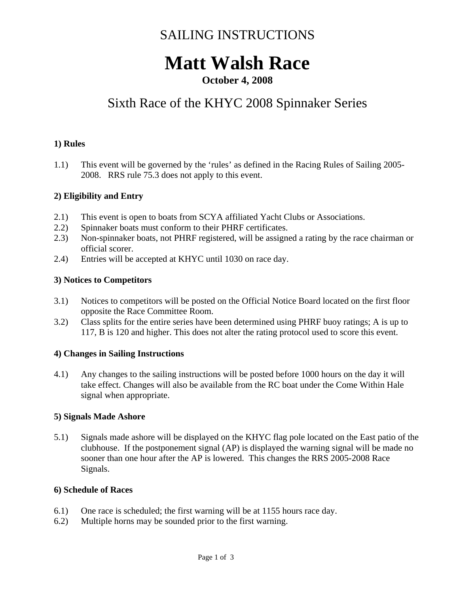## SAILING INSTRUCTIONS

# **Matt Walsh Race**

### **October 4, 2008**

### Sixth Race of the KHYC 2008 Spinnaker Series

#### **1) Rules**

1.1) This event will be governed by the 'rules' as defined in the Racing Rules of Sailing 2005- 2008. RRS rule 75.3 does not apply to this event.

#### **2) Eligibility and Entry**

- 2.1) This event is open to boats from SCYA affiliated Yacht Clubs or Associations.
- 2.2) Spinnaker boats must conform to their PHRF certificates.
- 2.3) Non-spinnaker boats, not PHRF registered, will be assigned a rating by the race chairman or official scorer.
- 2.4) Entries will be accepted at KHYC until 1030 on race day.

#### **3) Notices to Competitors**

- 3.1) Notices to competitors will be posted on the Official Notice Board located on the first floor opposite the Race Committee Room.
- 3.2) Class splits for the entire series have been determined using PHRF buoy ratings; A is up to 117, B is 120 and higher. This does not alter the rating protocol used to score this event.

#### **4) Changes in Sailing Instructions**

4.1) Any changes to the sailing instructions will be posted before 1000 hours on the day it will take effect. Changes will also be available from the RC boat under the Come Within Hale signal when appropriate.

#### **5) Signals Made Ashore**

5.1) Signals made ashore will be displayed on the KHYC flag pole located on the East patio of the clubhouse. If the postponement signal (AP) is displayed the warning signal will be made no sooner than one hour after the AP is lowered. This changes the RRS 2005-2008 Race Signals.

#### **6) Schedule of Races**

- 6.1) One race is scheduled; the first warning will be at 1155 hours race day.
- 6.2) Multiple horns may be sounded prior to the first warning.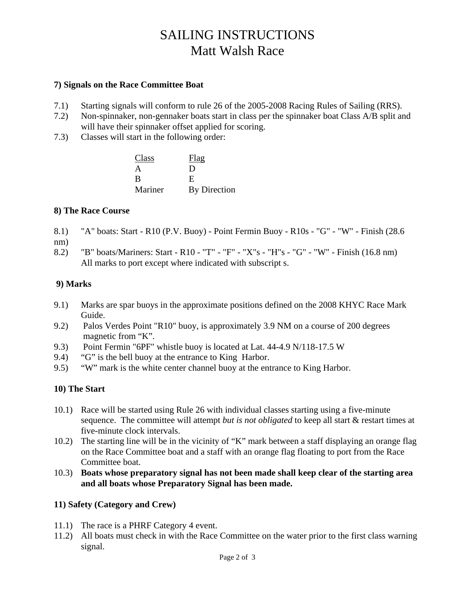## SAILING INSTRUCTIONS Matt Walsh Race

#### **7) Signals on the Race Committee Boat**

- 7.1) Starting signals will conform to rule 26 of the 2005-2008 Racing Rules of Sailing (RRS).
- 7.2) Non-spinnaker, non-gennaker boats start in class per the spinnaker boat Class A/B split and will have their spinnaker offset applied for scoring.
- 7.3) Classes will start in the following order:

| Class   | Flag         |
|---------|--------------|
|         | ו ו          |
|         | F.           |
| Mariner | By Direction |

#### **8) The Race Course**

- 8.1) "A" boats: Start R10 (P.V. Buoy) Point Fermin Buoy R10s "G" "W" Finish (28.6
- nm)
- 8.2) "B" boats/Mariners: Start R10 "T" "F" "X"s "H"s "G" "W" Finish (16.8 nm) All marks to port except where indicated with subscript s.

#### **9) Marks**

- 9.1) Marks are spar buoys in the approximate positions defined on the 2008 KHYC Race Mark Guide.
- 9.2) Palos Verdes Point "R10" buoy, is approximately 3.9 NM on a course of 200 degrees magnetic from "K".
- 9.3) Point Fermin "6PF" whistle buoy is located at Lat. 44-4.9 N/118-17.5 W
- 9.4) "G" is the bell buoy at the entrance to King Harbor.
- 9.5) "W" mark is the white center channel buoy at the entrance to King Harbor.

#### **10) The Start**

- 10.1) Race will be started using Rule 26 with individual classes starting using a five-minute sequence. The committee will attempt *but is not obligated* to keep all start & restart times at five-minute clock intervals.
- 10.2) The starting line will be in the vicinity of "K" mark between a staff displaying an orange flag on the Race Committee boat and a staff with an orange flag floating to port from the Race Committee boat.
- 10.3) **Boats whose preparatory signal has not been made shall keep clear of the starting area and all boats whose Preparatory Signal has been made.**

#### **11) Safety (Category and Crew)**

- 11.1) The race is a PHRF Category 4 event.
- 11.2) All boats must check in with the Race Committee on the water prior to the first class warning signal.